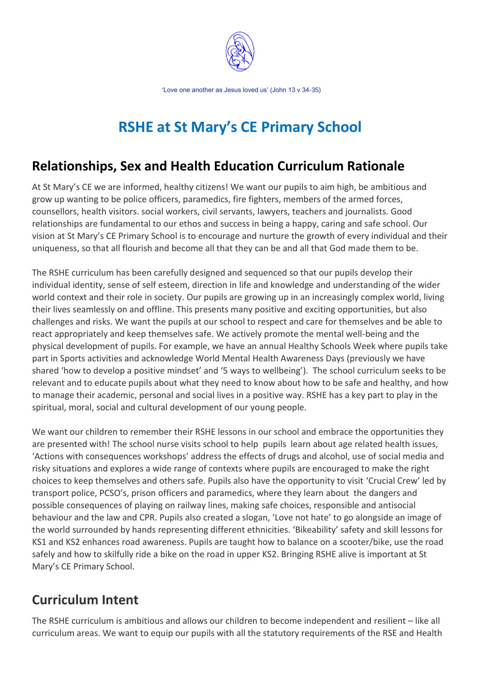

'Love one another as Jesus loved us' (John 13 v 34-35)

# **RSHE at St Mary's CE Primary School**

#### **Relationships, Sex and Health Education Curriculum Rationale**

At St Mary's CE we are informed, healthy citizens! We want our pupils to aim high, be ambitious and grow up wanting to be police officers, paramedics, fire fighters, members of the armed forces, counsellors, health visitors. social workers, civil servants, lawyers, teachers and journalists. Good relationships are fundamental to our ethos and success in being a happy, caring and safe school. Our vision at St Mary's CE Primary School is to encourage and nurture the growth of every individual and their uniqueness, so that all flourish and become all that they can be and all that God made them to be.

The RSHE curriculum has been carefully designed and sequenced so that our pupils develop their individual identity, sense of self esteem, direction in life and knowledge and understanding of the wider world context and their role in society. Our pupils are growing up in an increasingly complex world, living their lives seamlessly on and offline. This presents many positive and exciting opportunities, but also challenges and risks. We want the pupils at our school to respect and care for themselves and be able to react appropriately and keep themselves safe. We actively promote the mental well-being and the physical development of pupils. For example, we have an annual Healthy Schools Week where pupils take part in Sports activities and acknowledge World Mental Health Awareness Days (previously we have shared 'how to develop a positive mindset' and '5 ways to wellbeing'). The school curriculum seeks to be relevant and to educate pupils about what they need to know about how to be safe and healthy, and how to manage their academic, personal and social lives in a positive way. RSHE has a key part to play in the spiritual, moral, social and cultural development of our young people.

We want our children to remember their RSHE lessons in our school and embrace the opportunities they are presented with! The school nurse visits school to help pupils learn about age related health issues, 'Actions with consequences workshops' address the effects of drugs and alcohol, use of social media and risky situations and explores a wide range of contexts where pupils are encouraged to make the right choices to keep themselves and others safe. Pupils also have the opportunity to visit 'Crucial Crew' led by transport police, PCSO's, prison officers and paramedics, where they learn about the dangers and possible consequences of playing on railway lines, making safe choices, responsible and antisocial behaviour and the law and CPR. Pupils also created a slogan, 'Love not hate' to go alongside an image of the world surrounded by hands representing different ethnicities. 'Bikeability' safety and skill lessons for KS1 and KS2 enhances road awareness. Pupils are taught how to balance on a scooter/bike, use the road safely and how to skilfully ride a bike on the road in upper KS2. Bringing RSHE alive is important at St Mary's CE Primary School.

### **Curriculum Intent**

The RSHE curriculum is ambitious and allows our children to become independent and resilient – like all curriculum areas. We want to equip our pupils with all the statutory requirements of the RSE and Health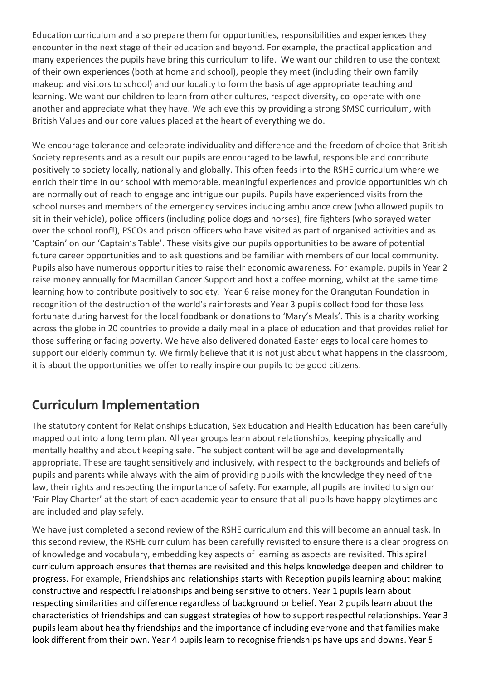Education curriculum and also prepare them for opportunities, responsibilities and experiences they encounter in the next stage of their education and beyond. For example, the practical application and many experiences the pupils have bring this curriculum to life. We want our children to use the context of their own experiences (both at home and school), people they meet (including their own family makeup and visitors to school) and our locality to form the basis of age appropriate teaching and learning. We want our children to learn from other cultures, respect diversity, co-operate with one another and appreciate what they have. We achieve this by providing a strong SMSC curriculum, with British Values and our core values placed at the heart of everything we do.

We encourage tolerance and celebrate individuality and difference and the freedom of choice that British Society represents and as a result our pupils are encouraged to be lawful, responsible and contribute positively to society locally, nationally and globally. This often feeds into the RSHE curriculum where we enrich their time in our school with memorable, meaningful experiences and provide opportunities which are normally out of reach to engage and intrigue our pupils. Pupils have experienced visits from the school nurses and members of the emergency services including ambulance crew (who allowed pupils to sit in their vehicle), police officers (including police dogs and horses), fire fighters (who sprayed water over the school roof!), PSCOs and prison officers who have visited as part of organised activities and as 'Captain' on our 'Captain's Table'. These visits give our pupils opportunities to be aware of potential future career opportunities and to ask questions and be familiar with members of our local community. Pupils also have numerous opportunities to raise theIr economic awareness. For example, pupils in Year 2 raise money annually for Macmillan Cancer Support and host a coffee morning, whilst at the same time learning how to contribute positively to society. Year 6 raise money for the Orangutan Foundation in recognition of the destruction of the world's rainforests and Year 3 pupils collect food for those less fortunate during harvest for the local foodbank or donations to 'Mary's Meals'. This is a charity working across the globe in 20 countries to provide a daily meal in a place of education and that provides relief for those suffering or facing poverty. We have also delivered donated Easter eggs to local care homes to support our elderly community. We firmly believe that it is not just about what happens in the classroom, it is about the opportunities we offer to really inspire our pupils to be good citizens.

### **Curriculum Implementation**

The statutory content for Relationships Education, Sex Education and Health Education has been carefully mapped out into a long term plan. All year groups learn about relationships, keeping physically and mentally healthy and about keeping safe. The subject content will be age and developmentally appropriate. These are taught sensitively and inclusively, with respect to the backgrounds and beliefs of pupils and parents while always with the aim of providing pupils with the knowledge they need of the law, their rights and respecting the importance of safety. For example, all pupils are invited to sign our 'Fair Play Charter' at the start of each academic year to ensure that all pupils have happy playtimes and are included and play safely.

We have just completed a second review of the RSHE curriculum and this will become an annual task. In this second review, the RSHE curriculum has been carefully revisited to ensure there is a clear progression of knowledge and vocabulary, embedding key aspects of learning as aspects are revisited. This spiral curriculum approach ensures that themes are revisited and this helps knowledge deepen and children to progress. For example, Friendships and relationships starts with Reception pupils learning about making constructive and respectful relationships and being sensitive to others. Year 1 pupils learn about respecting similarities and difference regardless of background or belief. Year 2 pupils learn about the characteristics of friendships and can suggest strategies of how to support respectful relationships. Year 3 pupils learn about healthy friendships and the importance of including everyone and that families make look different from their own. Year 4 pupils learn to recognise friendships have ups and downs. Year 5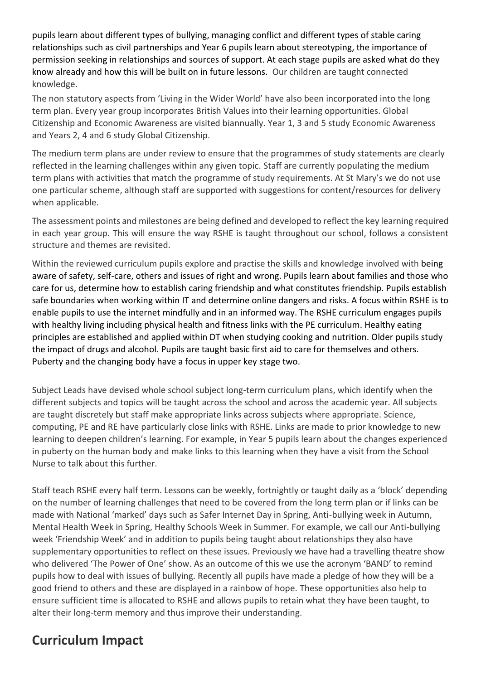pupils learn about different types of bullying, managing conflict and different types of stable caring relationships such as civil partnerships and Year 6 pupils learn about stereotyping, the importance of permission seeking in relationships and sources of support. At each stage pupils are asked what do they know already and how this will be built on in future lessons. Our children are taught connected knowledge.

The non statutory aspects from 'Living in the Wider World' have also been incorporated into the long term plan. Every year group incorporates British Values into their learning opportunities. Global Citizenship and Economic Awareness are visited biannually. Year 1, 3 and 5 study Economic Awareness and Years 2, 4 and 6 study Global Citizenship.

The medium term plans are under review to ensure that the programmes of study statements are clearly reflected in the learning challenges within any given topic. Staff are currently populating the medium term plans with activities that match the programme of study requirements. At St Mary's we do not use one particular scheme, although staff are supported with suggestions for content/resources for delivery when applicable.

The assessment points and milestones are being defined and developed to reflect the key learning required in each year group. This will ensure the way RSHE is taught throughout our school, follows a consistent structure and themes are revisited.

Within the reviewed curriculum pupils explore and practise the skills and knowledge involved with being aware of safety, self-care, others and issues of right and wrong. Pupils learn about families and those who care for us, determine how to establish caring friendship and what constitutes friendship. Pupils establish safe boundaries when working within IT and determine online dangers and risks. A focus within RSHE is to enable pupils to use the internet mindfully and in an informed way. The RSHE curriculum engages pupils with healthy living including physical health and fitness links with the PE curriculum. Healthy eating principles are established and applied within DT when studying cooking and nutrition. Older pupils study the impact of drugs and alcohol. Pupils are taught basic first aid to care for themselves and others. Puberty and the changing body have a focus in upper key stage two.

Subject Leads have devised whole school subject long-term curriculum plans, which identify when the different subjects and topics will be taught across the school and across the academic year. All subjects are taught discretely but staff make appropriate links across subjects where appropriate. Science, computing, PE and RE have particularly close links with RSHE. Links are made to prior knowledge to new learning to deepen children's learning. For example, in Year 5 pupils learn about the changes experienced in puberty on the human body and make links to this learning when they have a visit from the School Nurse to talk about this further.

Staff teach RSHE every half term. Lessons can be weekly, fortnightly or taught daily as a 'block' depending on the number of learning challenges that need to be covered from the long term plan or if links can be made with National 'marked' days such as Safer Internet Day in Spring, Anti-bullying week in Autumn, Mental Health Week in Spring, Healthy Schools Week in Summer. For example, we call our Anti-bullying week 'Friendship Week' and in addition to pupils being taught about relationships they also have supplementary opportunities to reflect on these issues. Previously we have had a travelling theatre show who delivered 'The Power of One' show. As an outcome of this we use the acronym 'BAND' to remind pupils how to deal with issues of bullying. Recently all pupils have made a pledge of how they will be a good friend to others and these are displayed in a rainbow of hope. These opportunities also help to ensure sufficient time is allocated to RSHE and allows pupils to retain what they have been taught, to alter their long-term memory and thus improve their understanding.

## **Curriculum Impact**